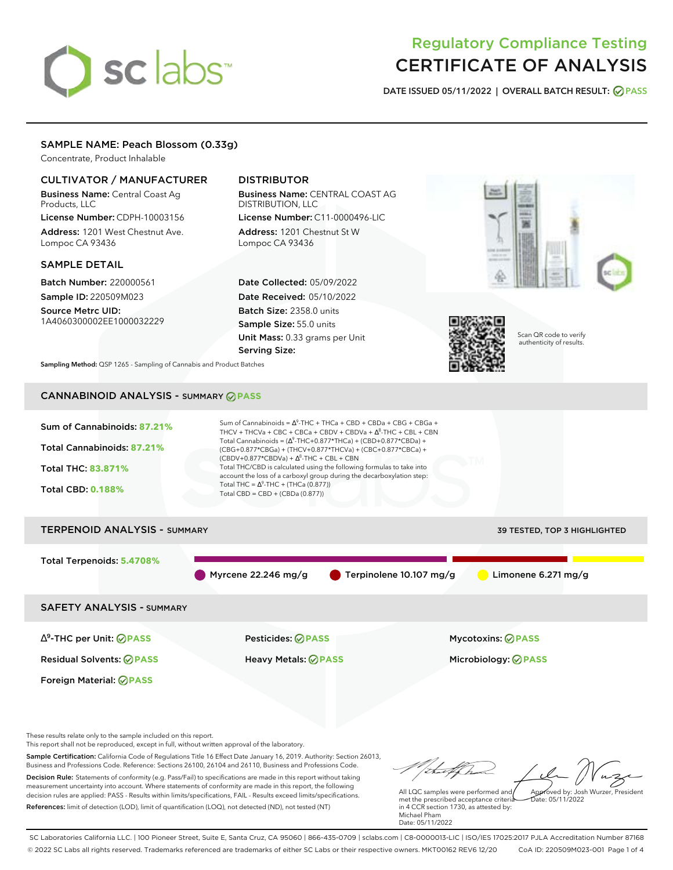# sclabs<sup>\*</sup>

# Regulatory Compliance Testing CERTIFICATE OF ANALYSIS

**DATE ISSUED 05/11/2022 | OVERALL BATCH RESULT: PASS**

# SAMPLE NAME: Peach Blossom (0.33g)

Concentrate, Product Inhalable

# CULTIVATOR / MANUFACTURER

Business Name: Central Coast Ag Products, LLC License Number: CDPH-10003156

Address: 1201 West Chestnut Ave. Lompoc CA 93436

## SAMPLE DETAIL

Batch Number: 220000561 Sample ID: 220509M023

Source Metrc UID: 1A4060300002EE1000032229

# DISTRIBUTOR

Business Name: CENTRAL COAST AG DISTRIBUTION, LLC License Number: C11-0000496-LIC

Address: 1201 Chestnut St W Lompoc CA 93436

Date Collected: 05/09/2022 Date Received: 05/10/2022 Batch Size: 2358.0 units Sample Size: 55.0 units Unit Mass: 0.33 grams per Unit Serving Size:





Scan QR code to verify authenticity of results.

**Sampling Method:** QSP 1265 - Sampling of Cannabis and Product Batches

# CANNABINOID ANALYSIS - SUMMARY **PASS**

| Sum of Cannabinoids: 87.21% | Sum of Cannabinoids = $\Delta^9$ -THC + THCa + CBD + CBDa + CBG + CBGa +<br>THCV + THCVa + CBC + CBCa + CBDV + CBDVa + $\Delta^8$ -THC + CBL + CBN                                       |
|-----------------------------|------------------------------------------------------------------------------------------------------------------------------------------------------------------------------------------|
| Total Cannabinoids: 87.21%  | Total Cannabinoids = $(\Delta^9$ -THC+0.877*THCa) + (CBD+0.877*CBDa) +<br>(CBG+0.877*CBGa) + (THCV+0.877*THCVa) + (CBC+0.877*CBCa) +<br>$(CBDV+0.877*CBDVa) + \Delta^8$ -THC + CBL + CBN |
| <b>Total THC: 83.871%</b>   | Total THC/CBD is calculated using the following formulas to take into<br>account the loss of a carboxyl group during the decarboxylation step:                                           |
| <b>Total CBD: 0.188%</b>    | Total THC = $\Delta^9$ -THC + (THCa (0.877))<br>Total CBD = $CBD + (CBDa (0.877))$                                                                                                       |
|                             |                                                                                                                                                                                          |

# TERPENOID ANALYSIS - SUMMARY 39 TESTED, TOP 3 HIGHLIGHTED Total Terpenoids: **5.4708%** Myrcene 22.246 mg/g  $\bullet$  Terpinolene 10.107 mg/g  $\bullet$  Limonene 6.271 mg/g SAFETY ANALYSIS - SUMMARY

∆ 9 -THC per Unit: **PASS** Pesticides: **PASS** Mycotoxins: **PASS**

Foreign Material: **PASS**

Residual Solvents: **PASS** Heavy Metals: **PASS** Microbiology: **PASS**

These results relate only to the sample included on this report.

This report shall not be reproduced, except in full, without written approval of the laboratory.

Sample Certification: California Code of Regulations Title 16 Effect Date January 16, 2019. Authority: Section 26013, Business and Professions Code. Reference: Sections 26100, 26104 and 26110, Business and Professions Code. Decision Rule: Statements of conformity (e.g. Pass/Fail) to specifications are made in this report without taking measurement uncertainty into account. Where statements of conformity are made in this report, the following decision rules are applied: PASS - Results within limits/specifications, FAIL - Results exceed limits/specifications.

References: limit of detection (LOD), limit of quantification (LOQ), not detected (ND), not tested (NT)

Approved by: Josh Wurzer, President

 $hat: 05/11/2022$ 

All LQC samples were performed and met the prescribed acceptance criteria in 4 CCR section 1730, as attested by: Michael Pham Date: 05/11/2022

SC Laboratories California LLC. | 100 Pioneer Street, Suite E, Santa Cruz, CA 95060 | 866-435-0709 | sclabs.com | C8-0000013-LIC | ISO/IES 17025:2017 PJLA Accreditation Number 87168 © 2022 SC Labs all rights reserved. Trademarks referenced are trademarks of either SC Labs or their respective owners. MKT00162 REV6 12/20 CoA ID: 220509M023-001 Page 1 of 4